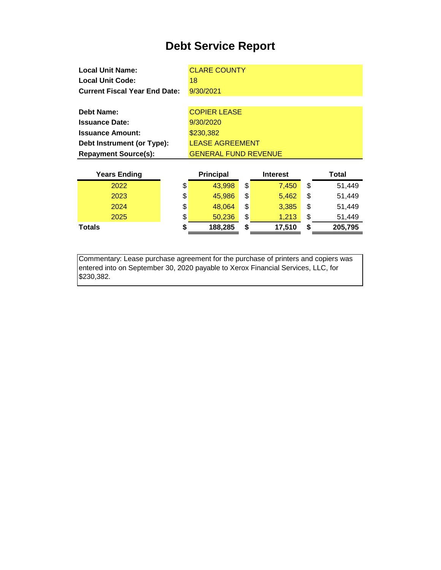| <b>Local Unit Name:</b>              | <b>CLARE COUNTY</b>         |
|--------------------------------------|-----------------------------|
| <b>Local Unit Code:</b>              | 18                          |
| <b>Current Fiscal Year End Date:</b> | 9/30/2021                   |
|                                      |                             |
| Debt Name:                           | <b>COPIER LEASE</b>         |
| <b>Issuance Date:</b>                | 9/30/2020                   |
| <b>Issuance Amount:</b>              | \$230,382                   |
| Debt Instrument (or Type):           | <b>LEASE AGREEMENT</b>      |
| <b>Repayment Source(s):</b>          | <b>GENERAL FUND REVENUE</b> |
|                                      |                             |

| <b>Years Ending</b> | <b>Principal</b> | <b>Interest</b> |    | <b>Total</b> |
|---------------------|------------------|-----------------|----|--------------|
| 2022                | \$<br>43,998     | \$<br>7.450     | \$ | 51,449       |
| 2023                | \$<br>45,986     | \$<br>5.462     | \$ | 51,449       |
| 2024                | \$<br>48,064     | \$<br>3,385     | \$ | 51,449       |
| 2025                | \$<br>50,236     | \$<br>1,213     | \$ | 51,449       |
| <b>Totals</b>       | \$<br>188,285    | \$<br>17,510    | S  | 205,795      |

Commentary: Lease purchase agreement for the purchase of printers and copiers was entered into on September 30, 2020 payable to Xerox Financial Services, LLC, for \$230,382.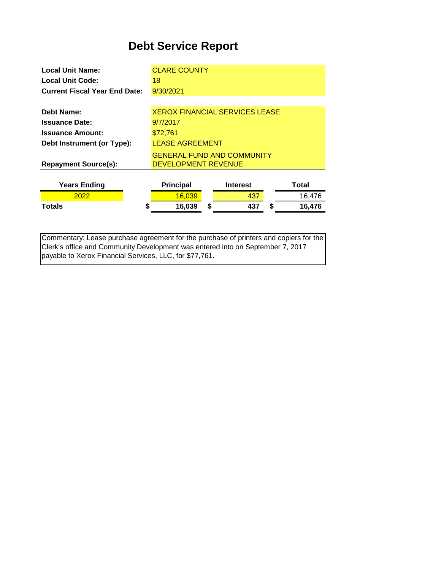| <b>Local Unit Name:</b>              | <b>CLARE COUNTY</b>                   |   |                 |  |        |
|--------------------------------------|---------------------------------------|---|-----------------|--|--------|
| Local Unit Code:                     | 18                                    |   |                 |  |        |
| <b>Current Fiscal Year End Date:</b> | 9/30/2021                             |   |                 |  |        |
|                                      |                                       |   |                 |  |        |
| Debt Name:                           | <b>XEROX FINANCIAL SERVICES LEASE</b> |   |                 |  |        |
| <b>Issuance Date:</b>                | 9/7/2017                              |   |                 |  |        |
| <b>Issuance Amount:</b>              | \$72,761                              |   |                 |  |        |
| Debt Instrument (or Type):           | <b>LEASE AGREEMENT</b>                |   |                 |  |        |
|                                      | <b>GENERAL FUND AND COMMUNITY</b>     |   |                 |  |        |
| <b>Repayment Source(s):</b>          | DEVELOPMENT REVENUE                   |   |                 |  |        |
|                                      |                                       |   |                 |  |        |
| <b>Years Ending</b>                  | <b>Principal</b>                      |   | <b>Interest</b> |  | Total  |
| 2022                                 | 16,039                                |   | 437             |  | 16.476 |
| Totals                               | \$<br>16,039                          | S | 437             |  | 16,476 |

Commentary: Lease purchase agreement for the purchase of printers and copiers for the Clerk's office and Community Development was entered into on September 7, 2017 payable to Xerox Financial Services, LLC, for \$77,761.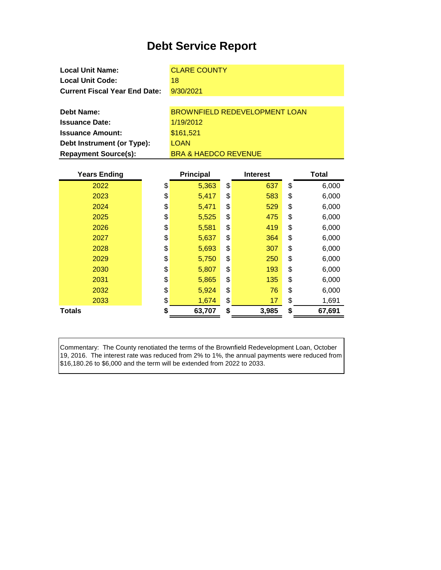| <b>Local Unit Name:</b>              | <b>CLARE COUNTY</b>           |
|--------------------------------------|-------------------------------|
| <b>Local Unit Code:</b>              | 18                            |
| <b>Current Fiscal Year End Date:</b> | 9/30/2021                     |
|                                      |                               |
| Debt Name:                           | BROWNFIELD REDEVELOPMENT LOAN |
| <b>Issuance Date:</b>                | 1/19/2012                     |
| Iccuance Amount                      | R464521                       |

**Issuance Amount: Debt Instrument (or Type): Repayment Source(s):**

\$161,521 **LOAN** BRA & HAEDCO REVENUE

| <b>Years Ending</b> | <b>Principal</b> | <b>Interest</b> | <b>Total</b> |
|---------------------|------------------|-----------------|--------------|
| 2022                | \$<br>5,363      | \$<br>637       | \$<br>6,000  |
| 2023                | \$<br>5,417      | \$<br>583       | \$<br>6,000  |
| 2024                | \$<br>5,471      | \$<br>529       | \$<br>6,000  |
| 2025                | \$<br>5,525      | \$<br>475       | \$<br>6,000  |
| 2026                | \$<br>5,581      | \$<br>419       | \$<br>6,000  |
| 2027                | \$<br>5,637      | \$<br>364       | \$<br>6,000  |
| 2028                | \$<br>5,693      | \$<br>307       | \$<br>6,000  |
| 2029                | \$<br>5,750      | \$<br>250       | \$<br>6,000  |
| 2030                | \$<br>5,807      | \$<br>193       | \$<br>6,000  |
| 2031                | \$<br>5,865      | \$<br>135       | \$<br>6,000  |
| 2032                | \$<br>5,924      | \$<br>76        | \$<br>6,000  |
| 2033                | \$<br>1,674      | \$<br>17        | \$<br>1,691  |
| <b>Totals</b>       | \$<br>63,707     | \$<br>3,985     | \$<br>67,691 |

Commentary: The County renotiated the terms of the Brownfield Redevelopment Loan, October 19, 2016. The interest rate was reduced from 2% to 1%, the annual payments were reduced from \$16,180.26 to \$6,000 and the term will be extended from 2022 to 2033.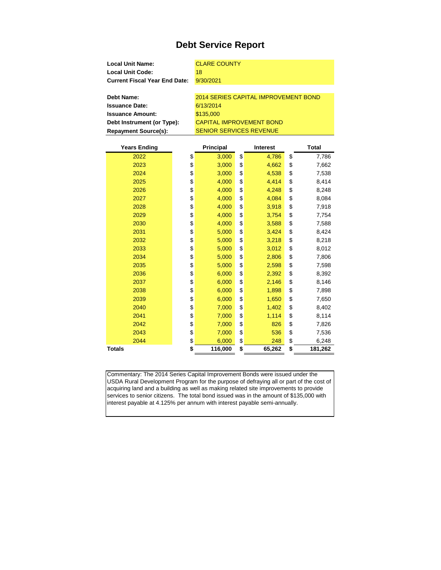| <b>CLARE COUNTY</b>                  |
|--------------------------------------|
| 18                                   |
| 9/30/2021                            |
|                                      |
| 2014 SERIES CAPITAL IMPROVEMENT BOND |
| 6/13/2014                            |
| \$135,000                            |
| <b>CAPITAL IMPROVEMENT BOND</b>      |
|                                      |

**Repayment Source(s):** SENIOR SERVICES REVENUE

| <b>Years Ending</b> | <b>Principal</b> | <b>Interest</b> | <b>Total</b>  |
|---------------------|------------------|-----------------|---------------|
| 2022                | \$<br>3,000      | \$<br>4,786     | \$<br>7,786   |
| 2023                | \$<br>3,000      | \$<br>4,662     | \$<br>7,662   |
| 2024                | \$<br>3,000      | \$<br>4,538     | \$<br>7,538   |
| 2025                | \$<br>4,000      | \$<br>4,414     | \$<br>8,414   |
| 2026                | \$<br>4,000      | \$<br>4,248     | \$<br>8,248   |
| 2027                | \$<br>4,000      | \$<br>4,084     | \$<br>8,084   |
| 2028                | \$<br>4,000      | \$<br>3,918     | \$<br>7,918   |
| 2029                | \$<br>4,000      | \$<br>3,754     | \$<br>7,754   |
| 2030                | \$<br>4,000      | \$<br>3,588     | \$<br>7,588   |
| 2031                | \$<br>5,000      | \$<br>3,424     | \$<br>8,424   |
| 2032                | \$<br>5,000      | \$<br>3,218     | \$<br>8,218   |
| 2033                | \$<br>5,000      | \$<br>3,012     | \$<br>8,012   |
| 2034                | \$<br>5,000      | \$<br>2,806     | \$<br>7,806   |
| 2035                | \$<br>5,000      | \$<br>2,598     | \$<br>7,598   |
| 2036                | \$<br>6,000      | \$<br>2,392     | \$<br>8,392   |
| 2037                | \$<br>6,000      | \$<br>2,146     | \$<br>8,146   |
| 2038                | \$<br>6,000      | \$<br>1,898     | \$<br>7,898   |
| 2039                | \$<br>6,000      | \$<br>1,650     | \$<br>7,650   |
| 2040                | \$<br>7,000      | \$<br>1,402     | \$<br>8,402   |
| 2041                | \$<br>7,000      | \$<br>1,114     | \$<br>8,114   |
| 2042                | \$<br>7,000      | \$<br>826       | \$<br>7,826   |
| 2043                | \$<br>7,000      | \$<br>536       | \$<br>7,536   |
| 2044                | \$<br>6,000      | \$<br>248       | \$<br>6,248   |
| <b>Totals</b>       | \$<br>116,000    | \$<br>65,262    | \$<br>181,262 |

Commentary: The 2014 Series Capital Improvement Bonds were issued under the USDA Rural Development Program for the purpose of defraying all or part of the cost of acquiring land and a building as well as making related site improvements to provide services to senior citizens. The total bond issued was in the amount of \$135,000 with interest payable at 4.125% per annum with interest payable semi-annually.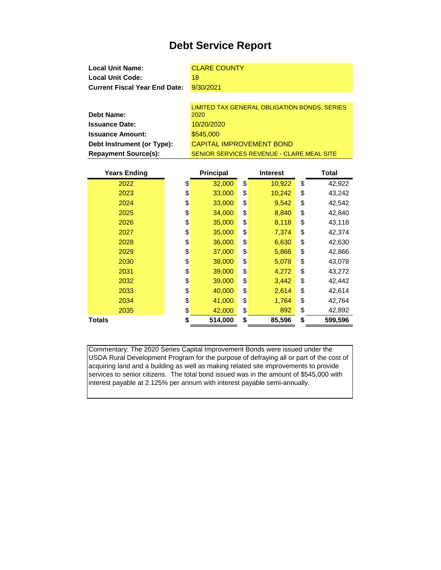| <b>Local Unit Name:</b>              | <b>CLARE COUNTY</b>                          |
|--------------------------------------|----------------------------------------------|
| <b>Local Unit Code:</b>              | 18                                           |
| <b>Current Fiscal Year End Date:</b> | 9/30/2021                                    |
|                                      |                                              |
|                                      | LIMITED TAX GENERAL OBLIGATION BONDS, SERIES |
| <b>Debt Name:</b>                    | 2020                                         |
| <b>Issuance Date:</b>                | 10/20/2020                                   |
| <b>Issuance Amount:</b>              | \$545,000                                    |
| Debt Instrument (or Type):           | <b>CAPITAL IMPROVEMENT BOND</b>              |

SENIOR SERVICES REVENUE - CLARE MEAL SITE

**Repayment Source(s):**

| <b>Years Ending</b> | <b>Principal</b> | <b>Interest</b> | Total         |
|---------------------|------------------|-----------------|---------------|
| 2022                | \$<br>32,000     | \$<br>10,922    | \$<br>42,922  |
| 2023                | \$<br>33,000     | \$<br>10,242    | \$<br>43,242  |
| 2024                | \$<br>33,000     | \$<br>9,542     | \$<br>42,542  |
| 2025                | \$<br>34,000     | \$<br>8,840     | \$<br>42,840  |
| 2026                | \$<br>35,000     | \$<br>8,118     | \$<br>43,118  |
| 2027                | \$<br>35,000     | \$<br>7,374     | \$<br>42,374  |
| 2028                | \$<br>36,000     | \$<br>6,630     | \$<br>42,630  |
| 2029                | \$<br>37,000     | \$<br>5,866     | \$<br>42,866  |
| 2030                | \$<br>38,000     | \$<br>5,078     | \$<br>43,078  |
| 2031                | \$<br>39,000     | \$<br>4,272     | \$<br>43,272  |
| 2032                | \$<br>39,000     | \$<br>3,442     | \$<br>42,442  |
| 2033                | \$<br>40,000     | \$<br>2,614     | \$<br>42,614  |
| 2034                | \$<br>41,000     | \$<br>1,764     | \$<br>42,764  |
| 2035                | \$<br>42,000     | \$<br>892       | \$<br>42,892  |
| <b>Totals</b>       | \$<br>514,000    | \$<br>85,596    | \$<br>599,596 |

Commentary: The 2020 Series Capital Improvement Bonds were issued under the USDA Rural Development Program for the purpose of defraying all or part of the cost of acquiring land and a building as well as making related site improvements to provide services to senior citizens. The total bond issued was in the amount of \$545,000 with interest payable at 2.125% per annum with interest payable semi-annually.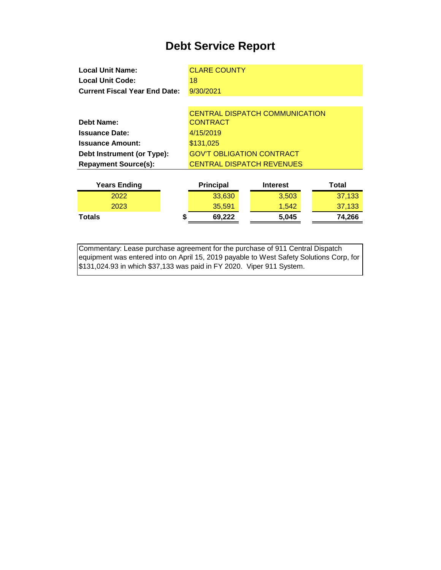| <b>Local Unit Name:</b>              |   | <b>CLARE COUNTY</b>              |                                       |        |  |
|--------------------------------------|---|----------------------------------|---------------------------------------|--------|--|
| <b>Local Unit Code:</b>              |   | 18                               |                                       |        |  |
| <b>Current Fiscal Year End Date:</b> |   | 9/30/2021                        |                                       |        |  |
|                                      |   |                                  |                                       |        |  |
|                                      |   |                                  | <b>CENTRAL DISPATCH COMMUNICATION</b> |        |  |
| <b>Debt Name:</b>                    |   | <b>CONTRACT</b>                  |                                       |        |  |
| <b>Issuance Date:</b>                |   | 4/15/2019                        |                                       |        |  |
| <b>Issuance Amount:</b>              |   | \$131,025                        |                                       |        |  |
| Debt Instrument (or Type):           |   | <b>GOV'T OBLIGATION CONTRACT</b> |                                       |        |  |
| <b>Repayment Source(s):</b>          |   |                                  | <b>CENTRAL DISPATCH REVENUES</b>      |        |  |
|                                      |   |                                  |                                       |        |  |
| <b>Years Ending</b>                  |   | <b>Principal</b>                 | <b>Interest</b>                       | Total  |  |
| 2022                                 |   | 33,630                           | 3,503                                 | 37,133 |  |
| 2023                                 |   | 35,591                           | 1,542                                 | 37,133 |  |
| Totals                               | S | 69,222                           | 5,045                                 | 74,266 |  |
|                                      |   |                                  |                                       |        |  |

Commentary: Lease purchase agreement for the purchase of 911 Central Dispatch equipment was entered into on April 15, 2019 payable to West Safety Solutions Corp, for \$131,024.93 in which \$37,133 was paid in FY 2020. Viper 911 System.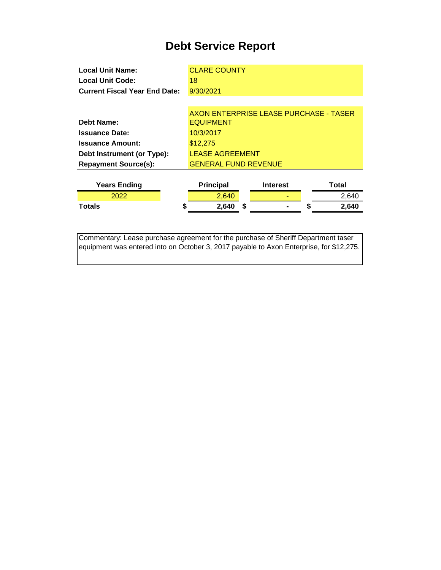| <b>Local Unit Name:</b>              | <b>CLARE COUNTY</b>                    |                 |            |
|--------------------------------------|----------------------------------------|-----------------|------------|
| <b>Local Unit Code:</b>              | 18                                     |                 |            |
| <b>Current Fiscal Year End Date:</b> | 9/30/2021                              |                 |            |
|                                      |                                        |                 |            |
|                                      | AXON ENTERPRISE LEASE PURCHASE - TASER |                 |            |
| Debt Name:                           | <b>EQUIPMENT</b>                       |                 |            |
| <b>Issuance Date:</b>                | 10/3/2017                              |                 |            |
| <b>Issuance Amount:</b>              | \$12,275                               |                 |            |
| Debt Instrument (or Type):           | <b>LEASE AGREEMENT</b>                 |                 |            |
| <b>Repayment Source(s):</b>          | <b>GENERAL FUND REVENUE</b>            |                 |            |
|                                      |                                        |                 |            |
| <b>Years Ending</b>                  | <b>Principal</b>                       | <b>Interest</b> | Total      |
| 2022                                 | 2,640                                  |                 | 2,640      |
| Totals<br>S                          | 2,640<br>\$.                           |                 | 2,640<br>S |
|                                      |                                        |                 |            |

Commentary: Lease purchase agreement for the purchase of Sheriff Department taser equipment was entered into on October 3, 2017 payable to Axon Enterprise, for \$12,275.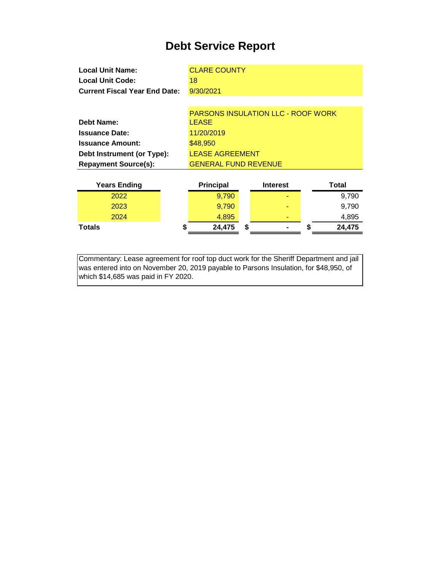| <b>Local Unit Name:</b>              | <b>CLARE COUNTY</b>                                       |
|--------------------------------------|-----------------------------------------------------------|
| <b>Local Unit Code:</b>              | 18                                                        |
| <b>Current Fiscal Year End Date:</b> | 9/30/2021                                                 |
|                                      |                                                           |
| Debt Name:                           | <b>PARSONS INSULATION LLC - ROOF WORK</b><br><b>LEASE</b> |
|                                      |                                                           |

| <b>Issuance Date:</b>       | 11/20/2019                  |
|-----------------------------|-----------------------------|
| <b>Issuance Amount:</b>     | \$48,950                    |
| Debt Instrument (or Type):  | <b>LEASE AGREEMENT</b>      |
| <b>Repayment Source(s):</b> | <b>GENERAL FUND REVENUE</b> |

| <b>Years Ending</b> | <b>Principal</b> |   | <b>Interest</b> |   | Total  |
|---------------------|------------------|---|-----------------|---|--------|
| 2022                | 9.790            |   | -               |   | 9,790  |
| 2023                | 9.790            |   | -               |   | 9,790  |
| 2024                | 4,895            |   |                 |   | 4,895  |
| Totals              | \$<br>24,475     | S | $\blacksquare$  | D | 24,475 |

Commentary: Lease agreement for roof top duct work for the Sheriff Department and jail was entered into on November 20, 2019 payable to Parsons Insulation, for \$48,950, of which \$14,685 was paid in FY 2020.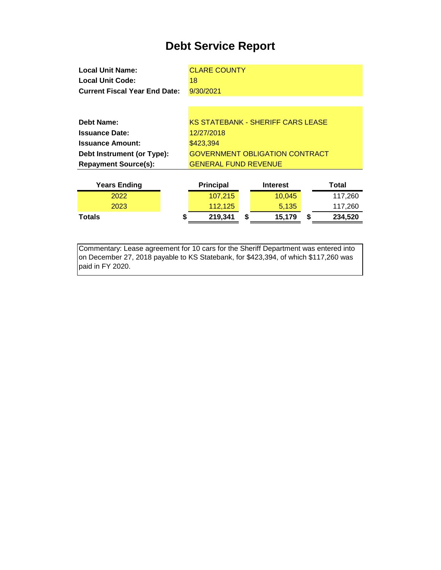| <b>Local Unit Name:</b>              | <b>CLARE COUNTY</b>         |                                          |               |
|--------------------------------------|-----------------------------|------------------------------------------|---------------|
| <b>Local Unit Code:</b>              | 18                          |                                          |               |
| <b>Current Fiscal Year End Date:</b> | 9/30/2021                   |                                          |               |
|                                      |                             |                                          |               |
|                                      |                             |                                          |               |
| Debt Name:                           |                             | <b>KS STATEBANK - SHERIFF CARS LEASE</b> |               |
| <b>Issuance Date:</b>                | 12/27/2018                  |                                          |               |
| <b>Issuance Amount:</b>              | \$423,394                   |                                          |               |
| Debt Instrument (or Type):           |                             | <b>GOVERNMENT OBLIGATION CONTRACT</b>    |               |
| <b>Repayment Source(s):</b>          | <b>GENERAL FUND REVENUE</b> |                                          |               |
|                                      |                             |                                          |               |
| <b>Years Ending</b>                  | <b>Principal</b>            | <b>Interest</b>                          | Total         |
| 2022                                 | 107,215                     | 10,045                                   | 117,260       |
| 2023                                 | 112,125                     | 5,135                                    | 117,260       |
| Totals                               | \$<br>219,341               | \$<br>15,179                             | \$<br>234,520 |
|                                      |                             |                                          |               |

Commentary: Lease agreement for 10 cars for the Sheriff Department was entered into on December 27, 2018 payable to KS Statebank, for \$423,394, of which \$117,260 was paid in FY 2020.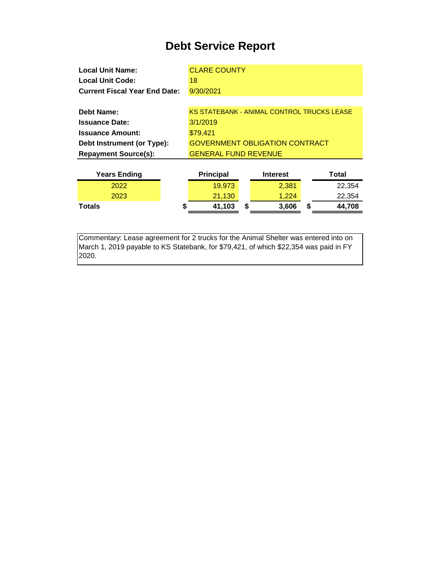| <b>Local Unit Name:</b>              | <b>CLARE COUNTY</b>                               |                 |        |  |  |  |  |
|--------------------------------------|---------------------------------------------------|-----------------|--------|--|--|--|--|
| Local Unit Code:                     | 18                                                |                 |        |  |  |  |  |
| <b>Current Fiscal Year End Date:</b> | 9/30/2021                                         |                 |        |  |  |  |  |
|                                      |                                                   |                 |        |  |  |  |  |
| <b>Debt Name:</b>                    | <b>KS STATEBANK - ANIMAL CONTROL TRUCKS LEASE</b> |                 |        |  |  |  |  |
| <b>Issuance Date:</b>                | 3/1/2019                                          |                 |        |  |  |  |  |
| <b>Issuance Amount:</b>              | \$79,421                                          |                 |        |  |  |  |  |
| Debt Instrument (or Type):           | <b>GOVERNMENT OBLIGATION CONTRACT</b>             |                 |        |  |  |  |  |
| <b>Repayment Source(s):</b>          | <b>GENERAL FUND REVENUE</b>                       |                 |        |  |  |  |  |
|                                      |                                                   |                 |        |  |  |  |  |
| <b>Years Ending</b>                  | <b>Principal</b>                                  | <b>Interest</b> | Total  |  |  |  |  |
| 2022                                 | 10 Q73                                            | 2.381           | 22.354 |  |  |  |  |

|               | - - - - - - - - - - - - |   | ---------- | - - - - - -  |
|---------------|-------------------------|---|------------|--------------|
| 2022          | 19,973                  |   | 2,381      | 22,354       |
| 2023          | 21,130                  |   | 1.224      | 22,354       |
| <b>Totals</b> | 41,103                  | S | 3,606      | \$<br>44,708 |
|               |                         |   |            |              |

Commentary: Lease agreement for 2 trucks for the Animal Shelter was entered into on March 1, 2019 payable to KS Statebank, for \$79,421, of which \$22,354 was paid in FY 2020.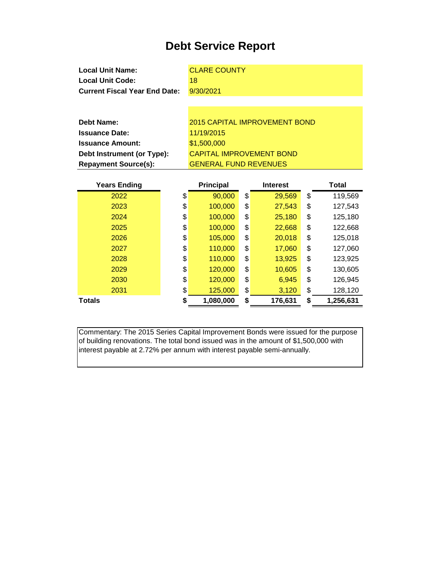| <b>Local Unit Name:</b>                                       |                              | <b>CLARE COUNTY</b> |    |                                      |    |              |  |
|---------------------------------------------------------------|------------------------------|---------------------|----|--------------------------------------|----|--------------|--|
| <b>Local Unit Code:</b>                                       |                              | 18                  |    |                                      |    |              |  |
| <b>Current Fiscal Year End Date:</b>                          |                              | 9/30/2021           |    |                                      |    |              |  |
|                                                               |                              |                     |    |                                      |    |              |  |
|                                                               |                              |                     |    |                                      |    |              |  |
| <b>Debt Name:</b>                                             |                              |                     |    | <b>2015 CAPITAL IMPROVEMENT BOND</b> |    |              |  |
| <b>Issuance Date:</b>                                         |                              | 11/19/2015          |    |                                      |    |              |  |
| <b>Issuance Amount:</b>                                       |                              | \$1,500,000         |    |                                      |    |              |  |
| <b>CAPITAL IMPROVEMENT BOND</b><br>Debt Instrument (or Type): |                              |                     |    |                                      |    |              |  |
| <b>Repayment Source(s):</b>                                   | <b>GENERAL FUND REVENUES</b> |                     |    |                                      |    |              |  |
|                                                               |                              |                     |    |                                      |    |              |  |
|                                                               |                              |                     |    |                                      |    |              |  |
| <b>Years Ending</b>                                           |                              | <b>Principal</b>    |    | <b>Interest</b>                      |    | <b>Total</b> |  |
| 2022                                                          | \$                           | 90,000              | \$ | 29,569                               | \$ | 119,569      |  |
| 2023                                                          | \$                           | 100,000             | \$ | 27,543                               | \$ | 127,543      |  |
| 2024                                                          | \$                           | 100,000             | \$ | 25,180                               | \$ | 125,180      |  |
| 2025                                                          | \$                           | 100,000             | \$ | 22,668                               | \$ | 122,668      |  |
| 2026                                                          | \$                           | 105,000             | \$ | 20,018                               | \$ | 125,018      |  |
| 2027                                                          | \$                           | 110,000             | \$ | 17,060                               | \$ | 127,060      |  |
| 2028                                                          | \$                           | 110,000             | \$ | 13,925                               | \$ | 123,925      |  |
| 2029                                                          | \$                           | 120,000             | \$ | 10,605                               | \$ | 130,605      |  |

**Totals \$ 1,080,000 \$ 176,631 \$ 1,256,631**

Commentary: The 2015 Series Capital Improvement Bonds were issued for the purpose of building renovations. The total bond issued was in the amount of \$1,500,000 with interest payable at 2.72% per annum with interest payable semi-annually.

2031 \$ 125,000 \$ 3,120 \$ 128,120